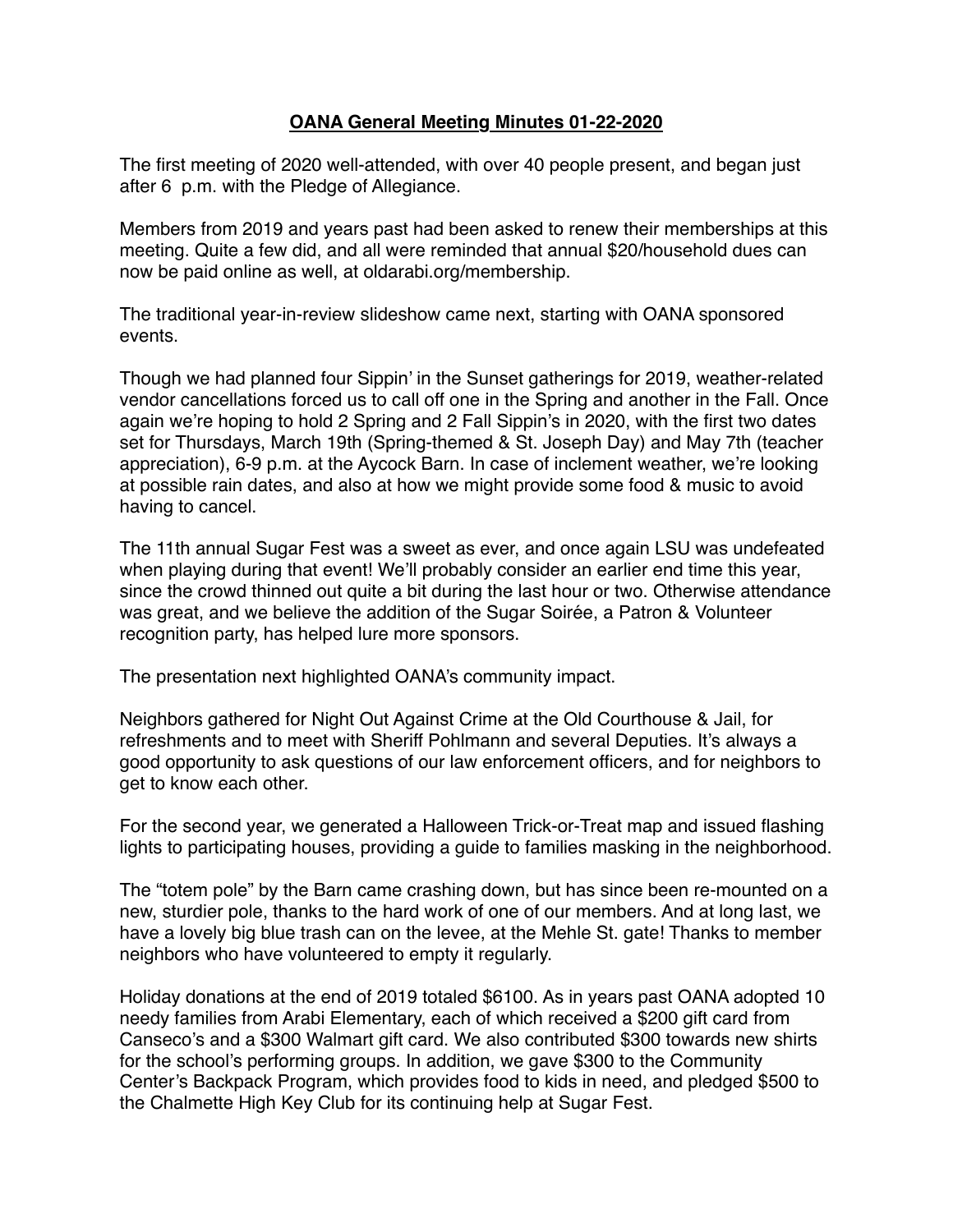## **OANA General Meeting Minutes 01-22-2020**

The first meeting of 2020 well-attended, with over 40 people present, and began just after 6 p.m. with the Pledge of Allegiance.

Members from 2019 and years past had been asked to renew their memberships at this meeting. Quite a few did, and all were reminded that annual \$20/household dues can now be paid online as well, at oldarabi.org/membership.

The traditional year-in-review slideshow came next, starting with OANA sponsored events.

Though we had planned four Sippin' in the Sunset gatherings for 2019, weather-related vendor cancellations forced us to call off one in the Spring and another in the Fall. Once again we're hoping to hold 2 Spring and 2 Fall Sippin's in 2020, with the first two dates set for Thursdays, March 19th (Spring-themed & St. Joseph Day) and May 7th (teacher appreciation), 6-9 p.m. at the Aycock Barn. In case of inclement weather, we're looking at possible rain dates, and also at how we might provide some food & music to avoid having to cancel.

The 11th annual Sugar Fest was a sweet as ever, and once again LSU was undefeated when playing during that event! We'll probably consider an earlier end time this year, since the crowd thinned out quite a bit during the last hour or two. Otherwise attendance was great, and we believe the addition of the Sugar Soirée, a Patron & Volunteer recognition party, has helped lure more sponsors.

The presentation next highlighted OANA's community impact.

Neighbors gathered for Night Out Against Crime at the Old Courthouse & Jail, for refreshments and to meet with Sheriff Pohlmann and several Deputies. It's always a good opportunity to ask questions of our law enforcement officers, and for neighbors to get to know each other.

For the second year, we generated a Halloween Trick-or-Treat map and issued flashing lights to participating houses, providing a guide to families masking in the neighborhood.

The "totem pole" by the Barn came crashing down, but has since been re-mounted on a new, sturdier pole, thanks to the hard work of one of our members. And at long last, we have a lovely big blue trash can on the levee, at the Mehle St. gate! Thanks to member neighbors who have volunteered to empty it regularly.

Holiday donations at the end of 2019 totaled \$6100. As in years past OANA adopted 10 needy families from Arabi Elementary, each of which received a \$200 gift card from Canseco's and a \$300 Walmart gift card. We also contributed \$300 towards new shirts for the school's performing groups. In addition, we gave \$300 to the Community Center's Backpack Program, which provides food to kids in need, and pledged \$500 to the Chalmette High Key Club for its continuing help at Sugar Fest.